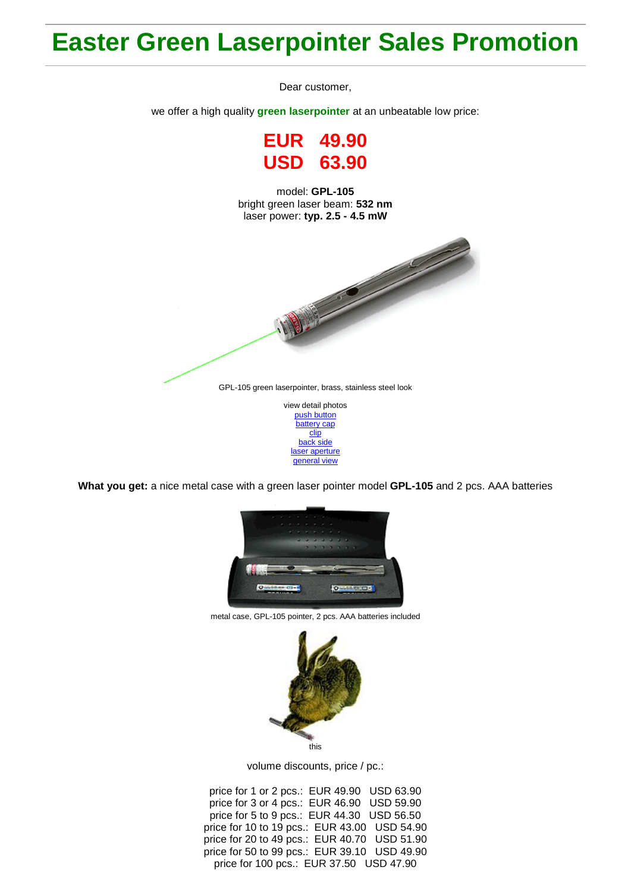## **Easter Green Laserpointer Sales Promotion**

Dear customer,

we offer a high quality **green laserpointer** at an unbeatable low price:

**EUR 49.90 USD 63.90**

model: **GPL-105** bright green laser beam: **532 nm** laser power: **typ. 2.5 - 4.5 mW**



[push button](http://roithner-laser.com/Hirespix/GPL105/push_button.jpg) [battery cap](http://roithner-laser.com/Hirespix/GPL105/battery_cap.jpg) [clip](http://roithner-laser.com/Hirespix/GPL105/clip.jpg) [back side](http://roithner-laser.com/Hirespix/GPL105/end_cap.jpg) [laser aperture](http://roithner-laser.com/Hirespix/GPL105/emitting_aperture.jpg) [general view](http://roithner-laser.com/Hirespix/GPL105/pointer_105.jpg)

**What you get:** a nice metal case with a green laser pointer model **GPL-105** and 2 pcs. AAA batteries



metal case, GPL-105 pointer, 2 pcs. AAA batteries included



volume discounts, price / pc.:

price for 1 or 2 pcs.: EUR 49.90 USD 63.90 price for 3 or 4 pcs.: EUR 46.90 USD 59.90 price for 5 to 9 pcs.: EUR 44.30 USD 56.50 price for 10 to 19 pcs.: EUR 43.00 USD 54.90 price for 20 to 49 pcs.: EUR 40.70 USD 51.90 price for 50 to 99 pcs.: EUR 39.10 USD 49.90 price for 100 pcs.: EUR 37.50 USD 47.90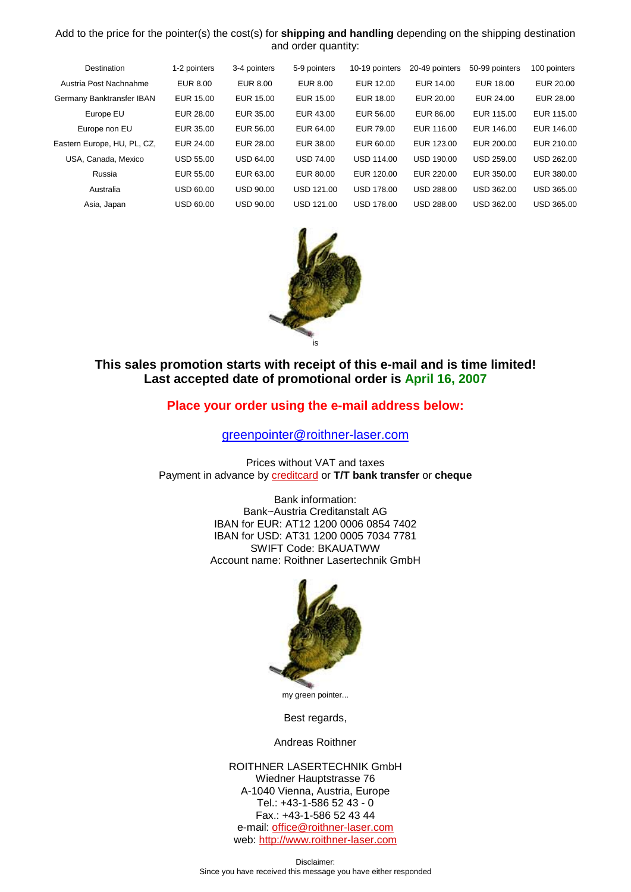## Add to the price for the pointer(s) the cost(s) for **shipping and handling** depending on the shipping destination and order quantity:

| Destination                 | 1-2 pointers     | 3-4 pointers     | 5-9 pointers    | 10-19 pointers    | 20-49 pointers    | 50-99 pointers    | 100 pointers      |
|-----------------------------|------------------|------------------|-----------------|-------------------|-------------------|-------------------|-------------------|
| Austria Post Nachnahme      | EUR 8.00         | EUR 8.00         | <b>EUR 8.00</b> | EUR 12.00         | EUR 14.00         | EUR 18.00         | EUR 20.00         |
| Germany Banktransfer IBAN   | EUR 15.00        | EUR 15.00        | EUR 15.00       | EUR 18.00         | EUR 20.00         | EUR 24.00         | EUR 28.00         |
| Europe EU                   | EUR 28.00        | EUR 35.00        | EUR 43.00       | EUR 56.00         | EUR 86.00         | EUR 115.00        | EUR 115.00        |
| Europe non EU               | EUR 35.00        | EUR 56.00        | EUR 64.00       | EUR 79.00         | EUR 116.00        | EUR 146.00        | EUR 146.00        |
| Eastern Europe, HU, PL, CZ, | EUR 24.00        | EUR 28.00        | EUR 38.00       | EUR 60.00         | EUR 123.00        | EUR 200.00        | EUR 210.00        |
| USA, Canada, Mexico         | <b>USD 55.00</b> | <b>USD 64.00</b> | USD 74.00       | <b>USD 114.00</b> | <b>USD 190.00</b> | <b>USD 259.00</b> | USD 262.00        |
| Russia                      | EUR 55.00        | EUR 63.00        | EUR 80.00       | EUR 120.00        | EUR 220.00        | EUR 350.00        | EUR 380.00        |
| Australia                   | <b>USD 60.00</b> | <b>USD 90.00</b> | USD 121.00      | <b>USD 178.00</b> | <b>USD 288.00</b> | <b>USD 362.00</b> | USD 365.00        |
| Asia, Japan                 | <b>USD 60.00</b> | <b>USD 90.00</b> | USD 121.00      | <b>USD 178.00</b> | <b>USD 288.00</b> | USD 362.00        | <b>USD 365.00</b> |



## **This sales promotion starts with receipt of this e-mail and is time limited! Last accepted date of promotional order is April 16, 2007**

## **Place your order using the e-mail address below:**

[greenpointer@roithner-laser.com](mailto:greenpointer@roithner-laser.com?subject=ORDER)

Prices without VAT and taxes Payment in advance by [creditcard](http://www.roithner-laser.com/order.html) or **T/T bank transfer** or **cheque**

> Bank information: Bank~Austria Creditanstalt AG IBAN for EUR: AT12 1200 0006 0854 7402 IBAN for USD: AT31 1200 0005 7034 7781 SWIFT Code: BKAUATWW Account name: Roithner Lasertechnik GmbH



my green pointer...

Best regards,

Andreas Roithner

ROITHNER LASERTECHNIK GmbH Wiedner Hauptstrasse 76 A-1040 Vienna, Austria, Europe Tel.: +43-1-586 52 43 - 0 Fax.: +43-1-586 52 43 44 e-mail[: office@roithner-laser.com](mailto:office@roithner-laser.com) web: [http://www.roithner-laser.com](http://www.roithner-laser.com/)